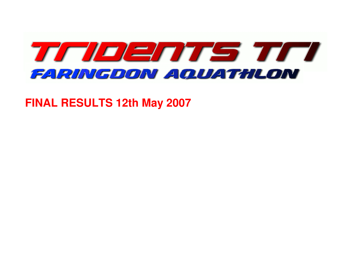

**FINAL RESULTS 12th May 2007**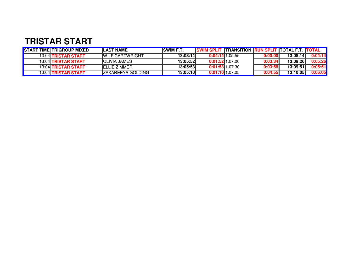## **TRISTAR START**

| <b>START TIME TRIGROUP MIXED</b> | <b>ILAST NAME</b>         | <b>ISWIM F.T.</b> |                   | <b>SWIM SPLIT TRANSITION RUN SPLIT TOTAL F.T. TOTAL</b> |         |          |         |
|----------------------------------|---------------------------|-------------------|-------------------|---------------------------------------------------------|---------|----------|---------|
| 13:04 TRISTAR START              | <b>IWILF CARTWRIGHT</b>   | 13:08:14          | $0:04:14$ 1.05.55 |                                                         | 0:00:00 | 13:08:14 | 0:04:14 |
| <b>13:04 TRISTAR START</b>       | <b>IOLIVIA JAMES</b>      | 13:05:52          | $0:01:52$ 1.07.00 |                                                         | 0:03:34 | 13:09:26 | 0:05:26 |
| 13:04 TRISTAR START              | <b>IELLIE ZIMMER</b>      | 13:05:53          | $0:01:53$ 1.07.30 |                                                         | 0:03:58 | 13:09:51 | 0:05:51 |
| <b>13:04 TRISTAR START</b>       | <b>IZAKAREEYA GOLDING</b> | 13:05:10          | $0:01:10$ 1.07.05 |                                                         | 0:04:55 | 13:10:05 | 0:06:05 |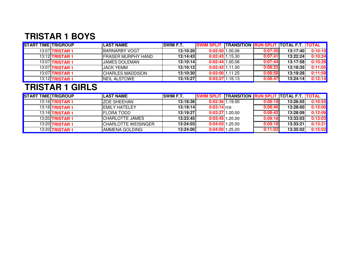# **TRISTAR 1 BOYS**

| <b>START TIME TRIGROUP</b> |                        | <b>LAST NAME</b>           | <b>ISWIM F.T.</b> | SWIM SPLIT TRANSITION RUN SPLIT TOTAL F.T. TOTAL |                   |         |          |         |
|----------------------------|------------------------|----------------------------|-------------------|--------------------------------------------------|-------------------|---------|----------|---------|
|                            | 13:07 <b>TRISTAR 1</b> | <b>IBARNARBY VOGT</b>      | 13:10:20          |                                                  | $0:02:50$ 1.00.06 | 0:07:20 | 13:17:40 | 0:10:10 |
|                            | 13:12 <b>TRISTAR 1</b> | <b>IFRASER MURPHY HAND</b> | 13:14:43          |                                                  | $0:02:43$ 1.15.30 | 0:07:41 | 13:22:24 | 0:10:24 |
|                            | 13:07 <b>TRISTAR 1</b> | IJAMES DOLEMAN             | 13:10:14          |                                                  | $0:02:44$ 1.00.06 | 0:07:44 | 13:17:58 | 0:10:28 |
|                            | 13:07 <b>TRISTAR 1</b> | IJACK YEMM                 | 13:10:12          |                                                  | $0:02:42$ 1.11.00 | 0:08:23 | 13:18:35 | 0:11:05 |
|                            | 13:07 <b>TRISTAR 1</b> | <b>ICHARLES MADDISON</b>   | 13:10:30          |                                                  | $0:03:00$ 1.11.25 | 0:08:58 | 13:19:28 | 0:11:58 |
|                            | 13:12 <b>TRISTAR 1</b> | <b>INEIL ALSTOWE</b>       | 13:15:27          |                                                  | $0:03:27$ 1.16.13 | 0:08:47 | 13:24:14 | 0:12:14 |

#### **TRISTAR 1 GIRLS**

| <b>START TIME TRIGROUP</b> |                        | <b>LAST NAME</b>            | <b>ISWIM F.T.</b> | SWIM SPLIT TRANSITION RUN SPLIT TOTAL F.T. TOTAL |         |          |         |
|----------------------------|------------------------|-----------------------------|-------------------|--------------------------------------------------|---------|----------|---------|
|                            | 13:16 <b>TRISTAR 1</b> | <b>IZOE SHEEHAN</b>         | 13:18:36          | $0:02:36$ 1.19.00                                | 0:08:19 | 13:26:55 | 0:10:55 |
|                            | 13:16 <b>TRISTAR 1</b> | <b>IEMILY HATELEY</b>       | 13:19:14          | $0:03:14$ n/a                                    | 0:08:46 | 13:28:00 | 0:12:00 |
|                            | 13:16 <b>TRISTAR 1</b> | <b>IFLORA TODD</b>          | 13:19:27          | $0:03:27$ 1.20.00                                | 0:08:42 | 13:28:09 | 0:12:09 |
|                            | 13:20 <b>TRISTAR 1</b> | <b>CHARLOTTE JAMES</b>      | 13:23:45          | $0:03:45$ 1.25.00                                | 0:09:18 | 13:33:03 | 0:13:03 |
|                            | 13:20 <b>TRISTAR 1</b> | <b>ICHARLOTTE WEISINGER</b> | 13:24:03          | $0:04:03$ 1.25.00                                | 0:09:18 | 13:33:21 | 0:13:21 |
|                            | 13:20 <b>TRISTAR 1</b> | <b>IAMMENA GOLDING</b>      | 13:24:00          | $0:04:00$ 1.25.20                                | 0:11:02 | 13:35:02 | 0:15:02 |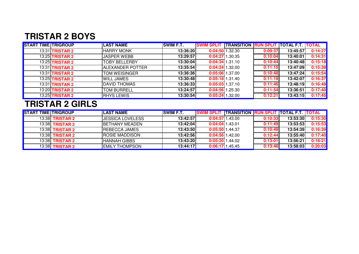#### **TRISTAR 2 BOYS**

| <b>START TIME TRIGROUP</b> |                        | <b>LAST NAME</b>     | <b>SWIM F.T.</b> | SWIM SPLIT TRANSITION RUN SPLIT TOTAL F.T. TOTAL |         |          |         |
|----------------------------|------------------------|----------------------|------------------|--------------------------------------------------|---------|----------|---------|
|                            | 13:31 <b>TRISTAR 2</b> | <b>HARRY MONK</b>    | 13:36:20         | $0:04:50$ 1.32.30                                | 0:09:37 | 13:45:57 | 0:14:27 |
|                            | 13:25 <b>TRISTAR 2</b> | <b>JASPER WEBB</b>   | 13:29:57         | $0:04:27$ 1.30.35                                | 0:10:04 | 13:40:01 | 0:14:31 |
|                            | <b>13:25 TRISTAR 2</b> | <b>TOBY BELLERBY</b> | 13:30:04         | $0:04:34$ 1.31.10                                | 0:10:44 | 13:40:48 | 0:15:18 |
|                            | 13:31 <b>TRISTAR 2</b> | IALEXANDER POTTER    | 13:35:54         | $0:04:24$ 1.32.00                                | 0:11:15 | 13:47:09 | 0:15:39 |
|                            | 13:31 <b>TRISTAR 2</b> | <b>TOM WEISINGER</b> | 13:36:36         | $0:05:06$ 1.37.00                                | 0:10:48 | 13:47:24 | 0:15:54 |
|                            | 13:25 <b>TRISTAR 2</b> | <b>WILL JAMES</b>    | 13:30:48         | 0:05:181.31.40                                   | 0:11:19 | 13:42:07 | 0:16:37 |
|                            | 13:31 <b>TRISTAR 2</b> | <b>DAVID THOMAS</b>  | 13:36:33         | $0:05:03$ 1.37.10                                | 0:11:46 | 13:48:19 | 0:16:49 |
|                            | <b>13:20 TRISTAR 2</b> | <b>TOM BURRELL</b>   | 13:24:57         | $0:04:56$ 1.25.30                                | 0:11:54 | 13:36:51 | 0:17:40 |
|                            | 13:25 <b>TRISTAR 2</b> | <b>RHYS LEWIS</b>    | 13:30:54         | $0:05:24$ 1.32.00                                | 0:12:21 | 13:43:15 | 0:17:45 |

## **TRISTAR 2 GIRLS**

| <b>START TIME TRIGROUP</b> |                        | <b>LAST NAME</b>       | <b>ISWIM F.T.</b> | SWIM SPLIT TRANSITION RUN SPLIT TOTAL F.T. TOTAL |         |          |         |
|----------------------------|------------------------|------------------------|-------------------|--------------------------------------------------|---------|----------|---------|
|                            | 13:38 <b>TRISTAR 2</b> | IJESSICA LOVELESS      | 13:42:57          | 0:04:5711.43.00                                  | 0:10:33 | 13:53:30 | 0:15:30 |
|                            | 13:38 <b>TRISTAR 2</b> | <b>IBETHANY MEADEN</b> | 13:42:04          | $0:04:04$ 1.43.01                                | 0:11:49 | 13:53:53 | 0:15:53 |
|                            | 13:38 <b>TRISTAR 2</b> | <b>IREBECCA JAMES</b>  | 13:43:50          | $0:05:50$ 1.44.37                                | 0:10:49 | 13:54:39 | 0:16:39 |
|                            | 13:38 <b>TRISTAR 2</b> | <b>IROSIE MADDISON</b> | 13:42:56          | $0:04:56$ 1.42.00                                | 0:12:44 | 13:55:40 | 0:17:40 |
|                            | 13:38 <b>TRISTAR 2</b> | <b>HANNAH GIBBS</b>    | 13:43:20          | 0:05:2011.44.02                                  | 0:13:01 | 13:56:21 | 0:18:21 |
|                            | 13:38 <b>TRISTAR 2</b> | <b>IEMILY THOMPSON</b> | 13:44:17          | $0:06:17$ 1.45.45                                | 0:13:46 | 13:58:03 | 0:20:03 |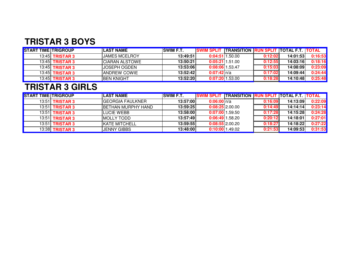#### **TRISTAR 3 BOYS**

| <b>START TIME TRIGROUP</b> |                        | <b>ILAST NAME</b>    | <b>ISWIM F.T.</b> |                   | SWIM SPLIT TRANSITION RUN SPLIT TOTAL F.T. TOTAL |         |          |         |
|----------------------------|------------------------|----------------------|-------------------|-------------------|--------------------------------------------------|---------|----------|---------|
|                            | 13:45 <b>TRISTAR 3</b> | <b>JAMES MCELROY</b> | 13:49:51          |                   | $0:04:51$ 1.50.00                                | 0:12:02 | 14:01:53 | 0:16:53 |
|                            | 13:45 <b>TRISTAR 3</b> | ICIARAN ALSTOWE      | 13:50:21          |                   | $0:05:21$   1.51.00                              | 0:12:55 | 14:03:16 | 0:18:16 |
|                            | 13:45 <b>TRISTAR 3</b> | IJOSEPH OGDEN        | 13:53:06          | $0:08:06$ 1.53.47 |                                                  | 0:15:03 | 14:08:09 | 0:23:09 |
|                            | 13:45 <b>TRISTAR 3</b> | <b>IANDREW COWIE</b> | 13:52:42          | $0:07:42$ n/a     |                                                  | 0:17:02 | 14:09:44 | 0:24:44 |
|                            | 13:45 <b>TRISTAR 3</b> | <b>IBEN KNIGHT</b>   | 13:52:20          |                   | $0:07:20$ 1.53.00                                | 0:18:28 | 14:10:48 | 0:25:48 |

#### **TRISTAR 3 GIRLS**

| <b>START TIME TRIGROUP</b> |                        | <b>LAST NAME</b>           | <b>ISWIM F.T.</b> | <b>ISWIM SPLIT ITRANSITION RUN SPLIT TOTAL F.T. TOTAL</b> |                   |         |          |         |
|----------------------------|------------------------|----------------------------|-------------------|-----------------------------------------------------------|-------------------|---------|----------|---------|
|                            | 13:51 <b>TRISTAR 3</b> | <b>IGEORGIA FAULKNER</b>   | 13:57:00          | $0:06:00$ $n/a$                                           |                   | 0:16:09 | 14:13:09 | 0:22:09 |
|                            | $13:51$ TRISTAR 3      | <b>IBETHAN MURPHY HAND</b> | 13:59:25          | $0:08:25$ 2.00.00                                         |                   | 0:14:49 | 14:14:14 | 0:23:14 |
|                            | 13:51 <b>TRISTAR 3</b> | LUCIE WEBB                 | 13:58:00          | 0:07:0011.59.50                                           |                   | 0:17:28 | 14:15:28 | 0:24:28 |
|                            | 13:51 <b>TRISTAR 3</b> | <b>MOLLY TODD</b>          | 13:57:49          | $0:06:49$ 1.58.20                                         |                   | 0:20:12 | 14:18:01 | 0:27:01 |
|                            | 13:51 <b>TRISTAR 3</b> | <b>IKATE MITCHELL</b>      | 13:59:55          | $0:08:55$ 2.00.20                                         |                   | 0:18:27 | 14:18:22 | 0:27:22 |
|                            | 13:38 <b>TRISTAR 3</b> | <b>JENNY GIBBS</b>         | 13:48:00          |                                                           | $0:10:00$ 1.49.02 | 0:21:53 | 14:09:53 | 0:31:53 |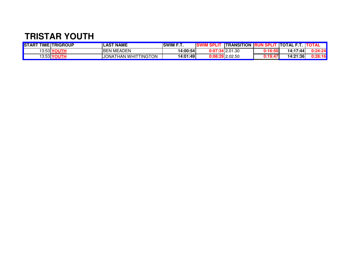#### **TRISTAR YOUTH**

| <b>STAR1</b> | <b>T TIME TRIGROUP</b> | <b>LAST NAME</b>                            | <b>SWIM F.T.</b> |        | <b>ITRANSITION</b>         |                   | <b>ITOTAL</b><br>--- | 11 A    |
|--------------|------------------------|---------------------------------------------|------------------|--------|----------------------------|-------------------|----------------------|---------|
|              | 13:53 <b>YOUTH</b>     | <b>BEN MEADEN</b>                           | 14:00:54         | 0:07   | ሰ1 20<br><b>14</b> 2.01.30 | 7.4 G<br>U. 10.31 | 14:17:44             | 0:24:24 |
| 13:53 YO.    |                        | <b>TINGTON</b><br><b>JONAT</b><br>THAN WHIT | 14:01:49         | 0:08:2 | <b>29</b> 2.02.50          | U. IY.47          | 14:21:36             | 0:28:16 |